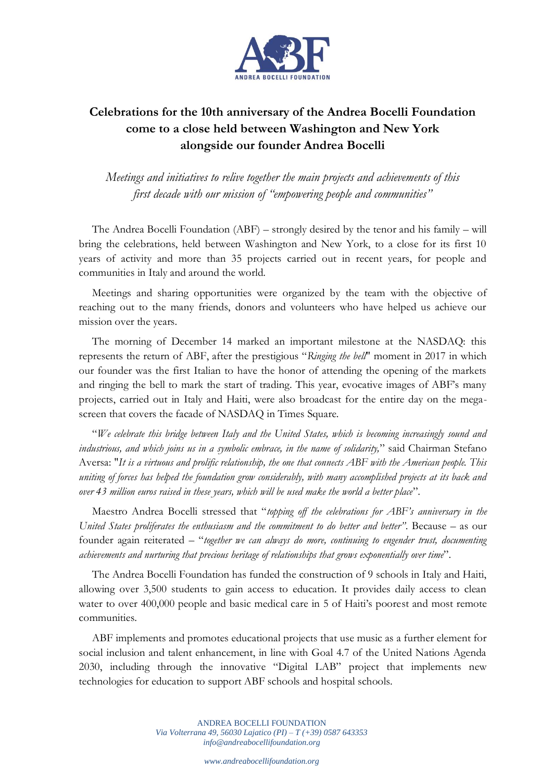

## **Celebrations for the 10th anniversary of the Andrea Bocelli Foundation come to a close held between Washington and New York alongside our founder Andrea Bocelli**

*Meetings and initiatives to relive together the main projects and achievements of this first decade with our mission of "empowering people and communities"* 

The Andrea Bocelli Foundation (ABF) – strongly desired by the tenor and his family – will bring the celebrations, held between Washington and New York, to a close for its first 10 years of activity and more than 35 projects carried out in recent years, for people and communities in Italy and around the world.

Meetings and sharing opportunities were organized by the team with the objective of reaching out to the many friends, donors and volunteers who have helped us achieve our mission over the years.

The morning of December 14 marked an important milestone at the NASDAQ: this represents the return of ABF, after the prestigious "*Ringing the bell*" moment in 2017 in which our founder was the first Italian to have the honor of attending the opening of the markets and ringing the bell to mark the start of trading. This year, evocative images of ABF's many projects, carried out in Italy and Haiti, were also broadcast for the entire day on the megascreen that covers the facade of NASDAQ in Times Square.

"*We celebrate this bridge between Italy and the United States, which is becoming increasingly sound and industrious, and which joins us in a symbolic embrace, in the name of solidarity,*" said Chairman Stefano Aversa: "*It is a virtuous and prolific relationship, the one that connects ABF with the American people. This uniting of forces has helped the foundation grow considerably, with many accomplished projects at its back and over 43 million euros raised in these years, which will be used make the world a better place*".

Maestro Andrea Bocelli stressed that "*topping off the celebrations for ABF's anniversary in the United States proliferates the enthusiasm and the commitment to do better and better"*. Because – as our founder again reiterated – "*together we can always do more, continuing to engender trust, documenting achievements and nurturing that precious heritage of relationships that grows exponentially over time*".

The Andrea Bocelli Foundation has funded the construction of 9 schools in Italy and Haiti, allowing over 3,500 students to gain access to education. It provides daily access to clean water to over 400,000 people and basic medical care in 5 of Haiti's poorest and most remote communities.

ABF implements and promotes educational projects that use music as a further element for social inclusion and talent enhancement, in line with Goal 4.7 of the United Nations Agenda 2030, including through the innovative "Digital LAB" project that implements new technologies for education to support ABF schools and hospital schools.